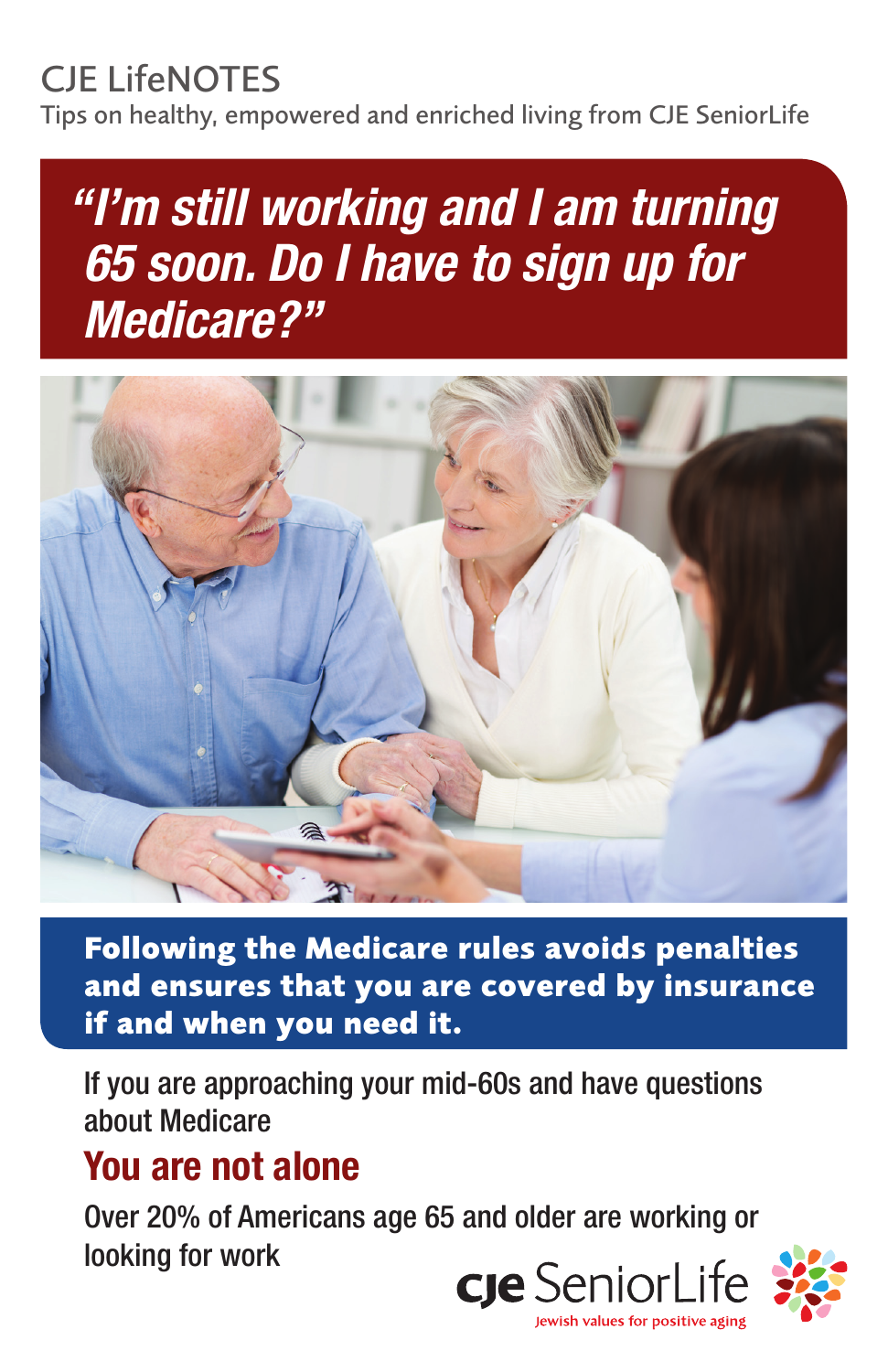# CJE LifeNOTES

Tips on healthy, empowered and enriched living from CJE SeniorLife

# *"I'm still working and I am turning 65 soon. Do I have to sign up for Medicare?"*



**Following the Medicare rules avoids penalties and ensures that you are covered by insurance if and when you need it.**

If you are approaching your mid-60s and have questions about Medicare

## You are not alone

Over 20% of Americans age 65 and older are working or looking for work

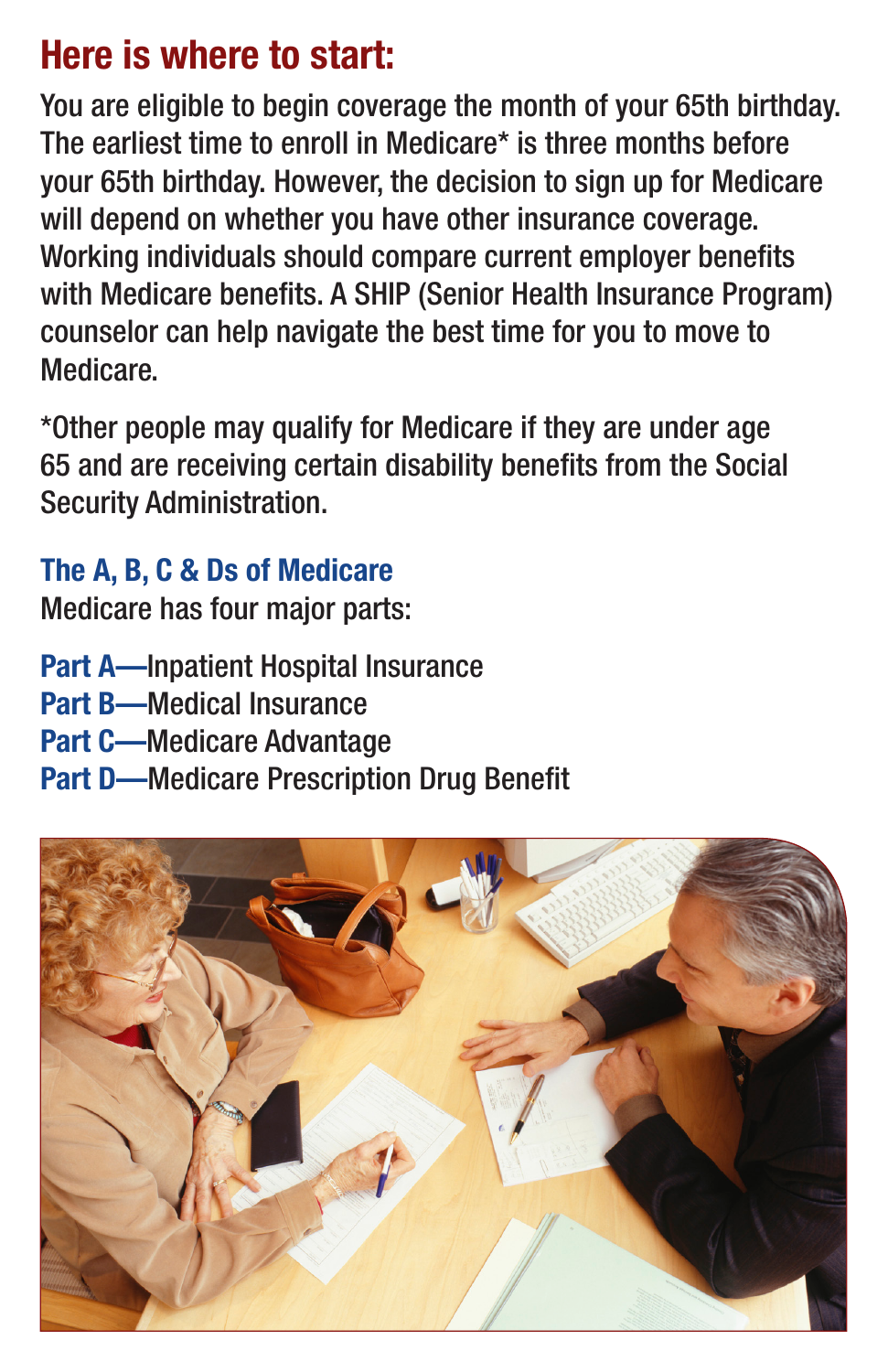## Here is where to start:

You are eligible to begin coverage the month of your 65th birthday. The earliest time to enroll in Medicare\* is three months before your 65th birthday. However, the decision to sign up for Medicare will depend on whether you have other insurance coverage. Working individuals should compare current employer benefits with Medicare benefits. A SHIP (Senior Health Insurance Program) counselor can help navigate the best time for you to move to Medicare.

\*Other people may qualify for Medicare if they are under age 65 and are receiving certain disability benefits from the Social Security Administration.

#### The A, B, C & Ds of Medicare

Medicare has four major parts:

Part A—Inpatient Hospital Insurance Part B—Medical Insurance Part C—Medicare Advantage Part D—Medicare Prescription Drug Benefit

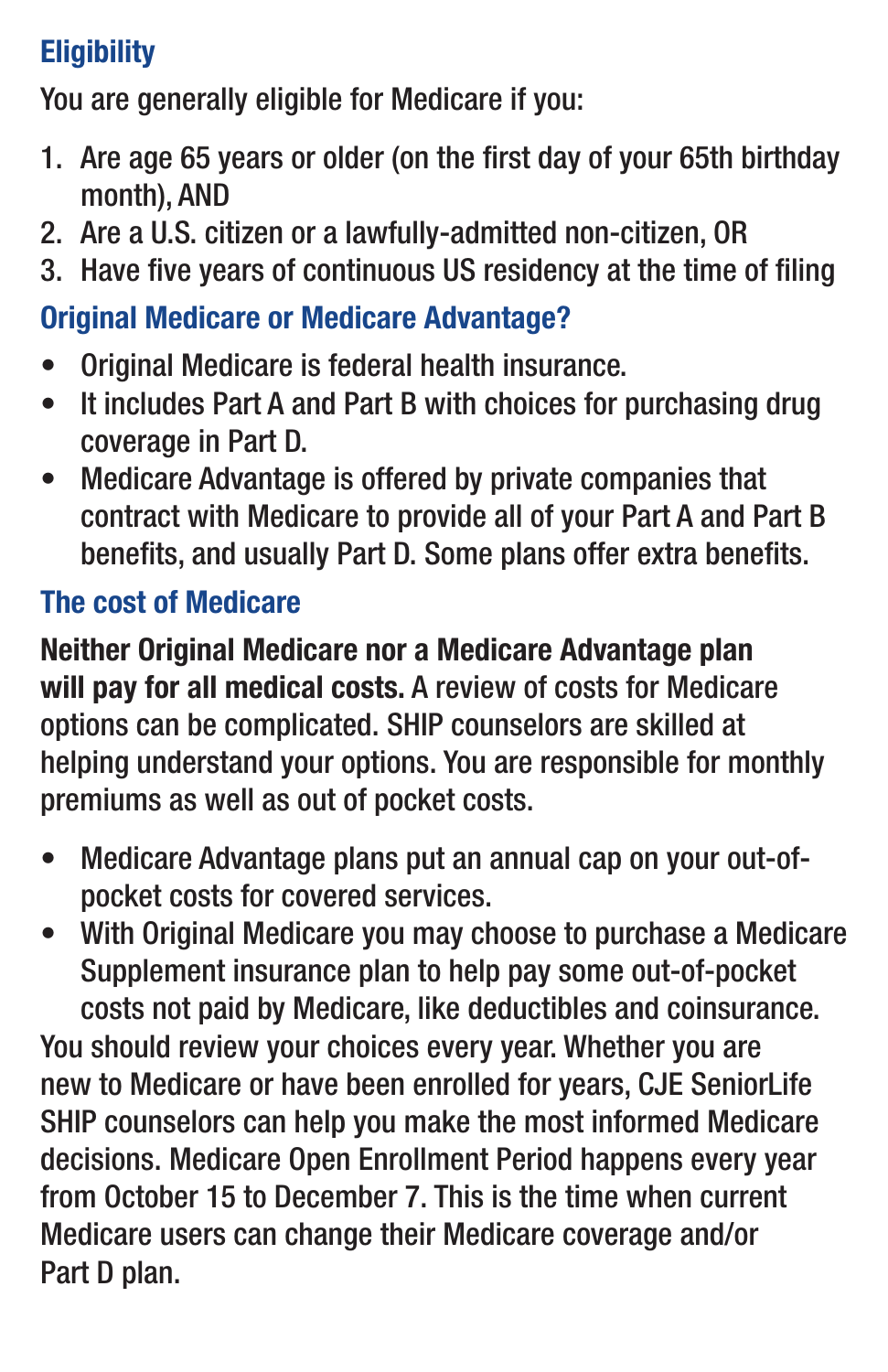#### **Eligibility**

You are generally eligible for Medicare if you:

- 1. Are age 65 years or older (on the first day of your 65th birthday month), AND
- 2. Are a U.S. citizen or a lawfully-admitted non-citizen, OR
- 3. Have five years of continuous US residency at the time of filing

#### Original Medicare or Medicare Advantage?

- Original Medicare is federal health insurance.
- It includes Part A and Part B with choices for purchasing drug coverage in Part D.
- Medicare Advantage is offered by private companies that contract with Medicare to provide all of your Part A and Part B benefits, and usually Part D. Some plans offer extra benefits.

#### The cost of Medicare

Neither Original Medicare nor a Medicare Advantage plan will pay for all medical costs. A review of costs for Medicare options can be complicated. SHIP counselors are skilled at helping understand your options. You are responsible for monthly premiums as well as out of pocket costs.

- Medicare Advantage plans put an annual cap on your out-ofpocket costs for covered services.
- With Original Medicare you may choose to purchase a Medicare Supplement insurance plan to help pay some out-of-pocket costs not paid by Medicare, like deductibles and coinsurance.

You should review your choices every year. Whether you are new to Medicare or have been enrolled for years, CJE SeniorLife SHIP counselors can help you make the most informed Medicare decisions. Medicare Open Enrollment Period happens every year from October 15 to December 7. This is the time when current Medicare users can change their Medicare coverage and/or Part D plan.